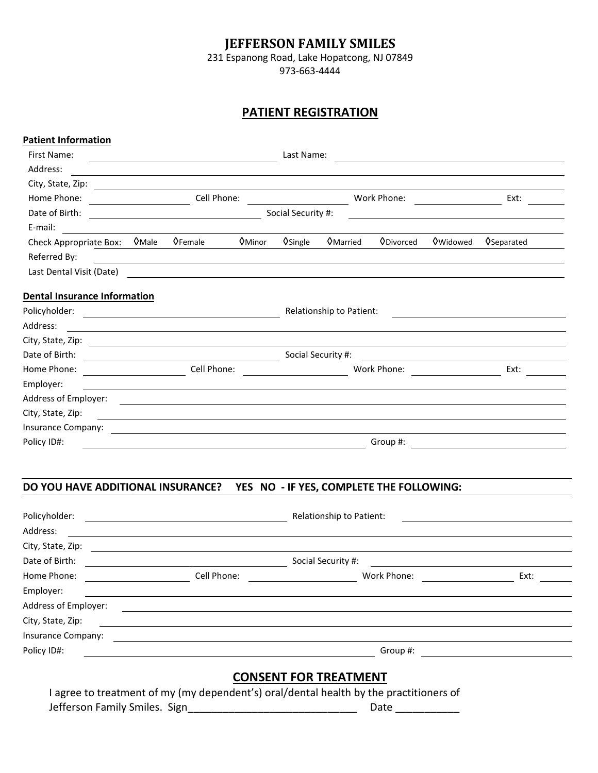# **JEFFERSON FAMILY SMILES**

231 Espanong Road, Lake Hopatcong, NJ 07849

973-663-4444

# **PATIENT REGISTRATION**

| First Name:<br>Address:<br>City, State, Zip: 2008. Experience of the State of Table 2008. The State of Table 2008. The State of Table 200<br>Home Phone:<br>Date of Birth:<br>E-mail:<br>$Q$ Male<br><b>OFemale</b><br>Check Appropriate Box:<br>Referred By:<br><u> 1989 - Johann Stoff, deutscher Stoffen und der Stoffen und der Stoffen und der Stoffen und der Stoffen und der</u><br>Last Dental Visit (Date)<br><b>Dental Insurance Information</b> |                                                                                                                       |                                     |                                              |                                                   |                    |
|------------------------------------------------------------------------------------------------------------------------------------------------------------------------------------------------------------------------------------------------------------------------------------------------------------------------------------------------------------------------------------------------------------------------------------------------------------|-----------------------------------------------------------------------------------------------------------------------|-------------------------------------|----------------------------------------------|---------------------------------------------------|--------------------|
|                                                                                                                                                                                                                                                                                                                                                                                                                                                            |                                                                                                                       | Last Name:                          | <u> 1989 - Andrea Andrew Maria (b. 1989)</u> |                                                   |                    |
|                                                                                                                                                                                                                                                                                                                                                                                                                                                            |                                                                                                                       |                                     |                                              |                                                   |                    |
|                                                                                                                                                                                                                                                                                                                                                                                                                                                            |                                                                                                                       |                                     |                                              |                                                   |                    |
|                                                                                                                                                                                                                                                                                                                                                                                                                                                            | Cell Phone:                                                                                                           |                                     | Work Phone:                                  |                                                   | Ext:               |
|                                                                                                                                                                                                                                                                                                                                                                                                                                                            | Social Security #:                                                                                                    |                                     |                                              |                                                   |                    |
|                                                                                                                                                                                                                                                                                                                                                                                                                                                            |                                                                                                                       |                                     |                                              |                                                   |                    |
|                                                                                                                                                                                                                                                                                                                                                                                                                                                            | <b>O</b> Minor                                                                                                        | <b>V</b> Single<br><b>O</b> Married | <b>ODivorced</b>                             | <b>O</b> Widowed                                  | <b>O</b> Separated |
|                                                                                                                                                                                                                                                                                                                                                                                                                                                            |                                                                                                                       |                                     |                                              |                                                   |                    |
|                                                                                                                                                                                                                                                                                                                                                                                                                                                            | <u> 1989 - Johann Stoff, deutscher Stoff, der Stoff, der Stoff, der Stoff, der Stoff, der Stoff, der Stoff, der S</u> |                                     |                                              |                                                   |                    |
|                                                                                                                                                                                                                                                                                                                                                                                                                                                            |                                                                                                                       |                                     |                                              |                                                   |                    |
| Address:                                                                                                                                                                                                                                                                                                                                                                                                                                                   |                                                                                                                       | Relationship to Patient:            |                                              | <u> 1990 - Antonio Alemania, presidente e ale</u> |                    |
|                                                                                                                                                                                                                                                                                                                                                                                                                                                            |                                                                                                                       |                                     |                                              |                                                   |                    |
| Date of Birth:<br><u> 1980 - Johann Barn, mars ann an t-Amhain Aonaich an t-Aonaich an t-Aonaich ann an t-Aonaich ann an t-Aonaich</u>                                                                                                                                                                                                                                                                                                                     |                                                                                                                       | Social Security #:                  |                                              | <u> 1989 - Andrea State Barbara, amerikan per</u> |                    |
| Cell Phone:<br>Home Phone:                                                                                                                                                                                                                                                                                                                                                                                                                                 |                                                                                                                       |                                     | Work Phone:                                  |                                                   | Ext:               |
| Employer:                                                                                                                                                                                                                                                                                                                                                                                                                                                  |                                                                                                                       |                                     |                                              |                                                   |                    |
| Address of Employer:<br><u> 1989 - Andrea Andrew Maria (h. 1989).</u>                                                                                                                                                                                                                                                                                                                                                                                      |                                                                                                                       |                                     |                                              |                                                   |                    |
| City, State, Zip:                                                                                                                                                                                                                                                                                                                                                                                                                                          |                                                                                                                       |                                     |                                              |                                                   |                    |
| Insurance Company:<br><u> 1989 - Johann Stein, fransk politik (f. 1989)</u>                                                                                                                                                                                                                                                                                                                                                                                |                                                                                                                       |                                     |                                              |                                                   |                    |
| Policy ID#:                                                                                                                                                                                                                                                                                                                                                                                                                                                |                                                                                                                       |                                     | Group #:                                     |                                                   |                    |

# **DO YOU HAVE ADDITIONAL INSURANCE? YES NO - IF YES, COMPLETE THE FOLLOWING:**

| Policyholder:        |             | Relationship to Patient: |      |  |  |
|----------------------|-------------|--------------------------|------|--|--|
| Address:             |             |                          |      |  |  |
| City, State, Zip:    |             |                          |      |  |  |
| Date of Birth:       |             | Social Security #:       |      |  |  |
| Home Phone:          | Cell Phone: | Work Phone:              | Ext: |  |  |
| Employer:            |             |                          |      |  |  |
| Address of Employer: |             |                          |      |  |  |
| City, State, Zip:    |             |                          |      |  |  |
| Insurance Company:   |             |                          |      |  |  |
| Policy ID#:          |             | Group #:                 |      |  |  |

# **CONSENT FOR TREATMENT**

I agree to treatment of my (my dependent's) oral/dental health by the practitioners of Jefferson Family Smiles. Sign\_\_\_\_\_\_\_\_\_\_\_\_\_\_\_\_\_\_\_\_\_\_\_\_\_\_\_\_\_ Date \_\_\_\_\_\_\_\_\_\_\_